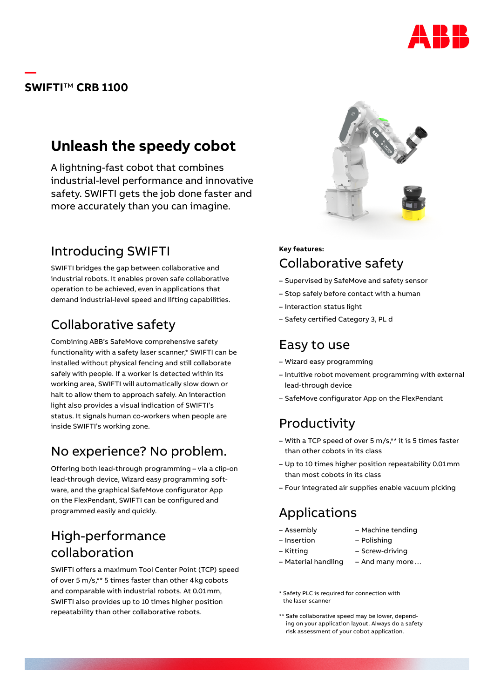

### **SWIFTI**™ **CRB 1100**

**—**

# **Unleash the speedy cobot**

A lightning-fast cobot that combines industrial-level performance and innovative safety. SWIFTI gets the job done faster and more accurately than you can imagine.

## Introducing SWIFTI

SWIFTI bridges the gap between collaborative and industrial robots. It enables proven safe collaborative operation to be achieved, even in applications that demand industrial-level speed and lifting capabilities.

# Collaborative safety

Combining ABB's SafeMove comprehensive safety functionality with a safety laser scanner,\* SWIFTI can be installed without physical fencing and still collaborate safely with people. If a worker is detected within its working area, SWIFTI will automatically slow down or halt to allow them to approach safely. An interaction light also provides a visual indication of SWIFTI's status. It signals human co-workers when people are inside SWIFTI's working zone.

## No experience? No problem.

Offering both lead-through programming – via a clip-on lead-through device, Wizard easy programming software, and the graphical SafeMove configurator App on the FlexPendant, SWIFTI can be configured and programmed easily and quickly.

## High-performance collaboration

SWIFTI offers a maximum Tool Center Point (TCP) speed of over 5 m/s,\*\* 5 times faster than other 4kg cobots and comparable with industrial robots. At 0.01mm, SWIFTI also provides up to 10 times higher position repeatability than other collaborative robots.



### **Key features:** Collaborative safety

- Supervised by SafeMove and safety sensor
- Stop safely before contact with a human
- Interaction status light
- Safety certified Category 3, PL d

### Easy to use

- Wizard easy programming
- Intuitive robot movement programming with external lead-through device
- SafeMove configurator App on the FlexPendant

# Productivity

- With a TCP speed of over 5 m/s,\*\* it is 5 times faster than other cobots in its class
- Up to 10 times higher position repeatability 0.01mm than most cobots in its class
- Four integrated air supplies enable vacuum picking

# Applications

- Assembly
- Machine tending
- Insertion – Kitting
- Material handling
- Polishing
- Screw-driving
	- And many more…
- \* Safety PLC is required for connection with the laser scanner
- \*\* Safe collaborative speed may be lower, depending on your application layout. Always do a safety risk assessment of your cobot application.